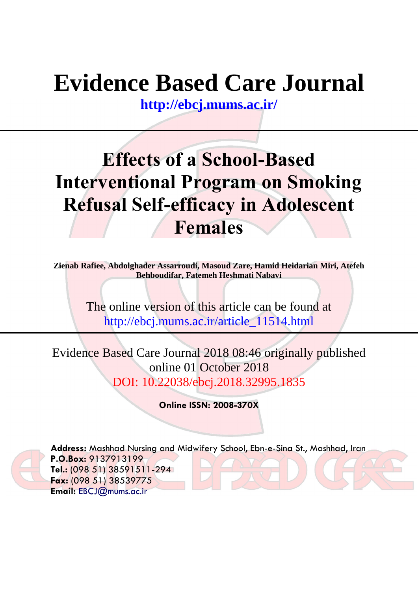# **Evidence Based Care Journal**

**<http://ebcj.mums.ac.ir/>**

## **Effects of a School-Based Interventional Program on Smoking Refusal Self-efficacy in Adolescent Females**

**Zienab Rafiee, Abdolghader Assarroudi, Masoud Zare, Hamid Heidarian Miri, Atefeh Behboudifar, Fatemeh Heshmati Nabavi** 

> The online version of this article can be found at http://ebcj.mums.ac.ir/article\_11514.html

Evidence Based Care Journal 2018 08:46 originally published online 01 October 2018 DOI: 10.22038/ebcj.2018.32995.1835

**Online ISSN: 2008-370X**



**Address:** Mashhad Nursing and Midwifery School, Ebn-e-Sina St., Mashhad, Iran **P.O.Box:** 9137913199 **Tel.:** (098 51) 38591511-294 **Fax:** (098 51) 38539775 **Email:** [EBCJ@mums.ac.ir](mailto:EBCJ@mums.ac.ir)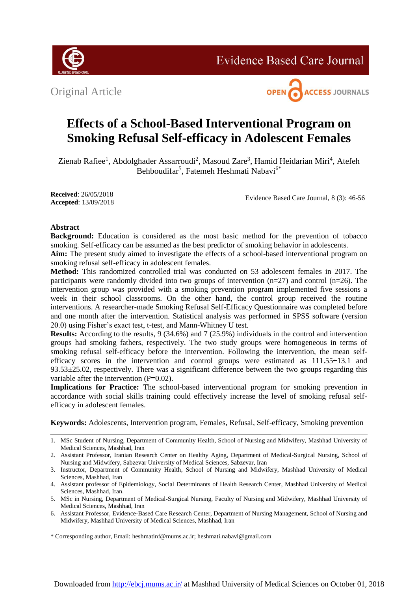

**Evidence Based Care Journal** 

Original Article



### **Effects of a School-Based Interventional Program on Smoking Refusal Self-efficacy in Adolescent Females**

Zienab Rafiee<sup>1</sup>, Abdolghader Assarroudi<sup>2</sup>, Masoud Zare<sup>3</sup>, Hamid Heidarian Miri<sup>4</sup>, Atefeh Behboudifar<sup>5</sup>, Fatemeh Heshmati Nabavi<sup>6\*</sup>

**Received**: 26/05/2018 **Accepted**: 13/09/2018

Evidence Based Care Journal, 8 (3): 46-56

#### **Abstract**

**Background:** Education is considered as the most basic method for the prevention of tobacco smoking. Self-efficacy can be assumed as the best predictor of smoking behavior in adolescents.

**Aim:** The present study aimed to investigate the effects of a school-based interventional program on smoking refusal self-efficacy in adolescent females.

**Method:** This randomized controlled trial was conducted on 53 adolescent females in 2017. The participants were randomly divided into two groups of intervention (n=27) and control (n=26). The intervention group was provided with a smoking prevention program implemented five sessions a week in their school classrooms. On the other hand, the control group received the routine interventions. A researcher-made Smoking Refusal Self-Efficacy Questionnaire was completed before and one month after the intervention. Statistical analysis was performed in SPSS software (version 20.0) using Fisher's exact test, t-test, and Mann-Whitney U test.

**Results:** According to the results, 9 (34.6%) and 7 (25.9%) individuals in the control and intervention groups had smoking fathers, respectively. The two study groups were homogeneous in terms of smoking refusal self-efficacy before the intervention. Following the intervention, the mean selfefficacy scores in the intervention and control groups were estimated as  $111.55\pm13.1$  and  $93.53\pm25.02$ , respectively. There was a significant difference between the two groups regarding this variable after the intervention (P=0.02).

**Implications for Practice:** The school-based interventional program for smoking prevention in accordance with social skills training could effectively increase the level of smoking refusal selfefficacy in adolescent females.

**Keywords:** Adolescents, Intervention program, Females, Refusal, Self-efficacy, Smoking prevention

\* Corresponding author, Email: heshmatinf@mums.ac.ir; heshmati.nabavi@gmail.com

<sup>1.</sup> MSc Student of Nursing, Department of Community Health, School of Nursing and Midwifery, Mashhad University of Medical Sciences, Mashhad, Iran

<sup>2.</sup> Assistant Professor, Iranian Research Center on Healthy Aging, Department of Medical-Surgical Nursing, School of Nursing and Midwifery, Sabzevar University of Medical Sciences, Sabzevar, Iran

<sup>3.</sup> Instructor, Department of Community Health, School of Nursing and Midwifery, Mashhad University of Medical Sciences, Mashhad, Iran

<sup>4.</sup> Assistant professor of Epidemiology, Social Determinants of Health Research Center, Mashhad University of Medical Sciences, Mashhad, Iran.

<sup>5.</sup> MSc in Nursing, Department of Medical-Surgical Nursing, Faculty of Nursing and Midwifery, Mashhad University of Medical Sciences, Mashhad, Iran

<sup>6.</sup> Assistant Professor, Evidence-Based Care Research Center, Department of Nursing Management, School of Nursing and Midwifery, Mashhad University of Medical Sciences, Mashhad, Iran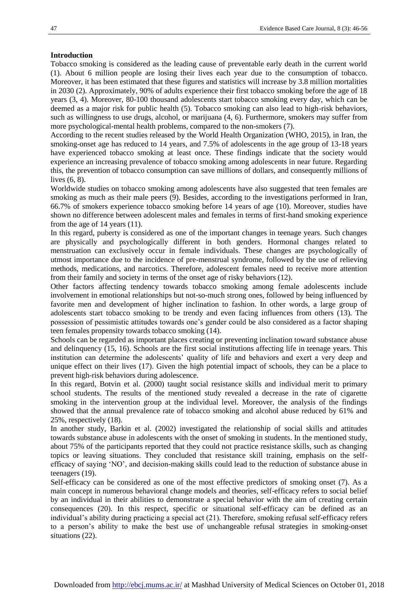#### **Introduction**

Tobacco smoking is considered as the leading cause of preventable early death in the current world (1). About 6 million people are losing their lives each year due to the consumption of tobacco. Moreover, it has been estimated that these figures and statistics will increase by 3.8 million mortalities in 2030 (2). Approximately, 90% of adults experience their first tobacco smoking before the age of 18 years (3, 4). Moreover, 80-100 thousand adolescents start tobacco smoking every day, which can be deemed as a major risk for public health (5). Tobacco smoking can also lead to high-risk behaviors, such as willingness to use drugs, alcohol, or marijuana (4, 6). Furthermore, smokers may suffer from more psychological-mental health problems, compared to the non-smokers (7).

According to the recent studies released by the World Health Organization (WHO, 2015), in Iran, the smoking-onset age has reduced to 14 years, and 7.5% of adolescents in the age group of 13-18 years have experienced tobacco smoking at least once. These findings indicate that the society would experience an increasing prevalence of tobacco smoking among adolescents in near future. Regarding this, the prevention of tobacco consumption can save millions of dollars, and consequently millions of lives (6, 8).

Worldwide studies on tobacco smoking among adolescents have also suggested that teen females are smoking as much as their male peers (9). Besides, according to the investigations performed in Iran, 66.7% of smokers experience tobacco smoking before 14 years of age (10). Moreover, studies have shown no difference between adolescent males and females in terms of first-hand smoking experience from the age of 14 years (11).

In this regard, puberty is considered as one of the important changes in teenage years. Such changes are physically and psychologically different in both genders. Hormonal changes related to menstruation can exclusively occur in female individuals. These changes are psychologically of utmost importance due to the incidence of pre-menstrual syndrome, followed by the use of relieving methods, medications, and narcotics. Therefore, adolescent females need to receive more attention from their family and society in terms of the onset age of risky behaviors (12).

Other factors affecting tendency towards tobacco smoking among female adolescents include involvement in emotional relationships but not-so-much strong ones, followed by being influenced by favorite men and development of higher inclination to fashion. In other words, a large group of adolescents start tobacco smoking to be trendy and even facing influences from others (13). The possession of pessimistic attitudes towards one's gender could be also considered as a factor shaping teen females propensity towards tobacco smoking (14).

Schools can be regarded as important places creating or preventing inclination toward substance abuse and delinquency (15, 16). Schools are the first social institutions affecting life in teenage years. This institution can determine the adolescents' quality of life and behaviors and exert a very deep and unique effect on their lives (17). Given the high potential impact of schools, they can be a place to prevent high-risk behaviors during adolescence.

In this regard, Botvin et al. (2000) taught social resistance skills and individual merit to primary school students. The results of the mentioned study revealed a decrease in the rate of cigarette smoking in the intervention group at the individual level. Moreover, the analysis of the findings showed that the annual prevalence rate of tobacco smoking and alcohol abuse reduced by 61% and 25%, respectively (18).

In another study, Barkin et al. (2002) investigated the relationship of social skills and attitudes towards substance abuse in adolescents with the onset of smoking in students. In the mentioned study, about 75% of the participants reported that they could not practice resistance skills, such as changing topics or leaving situations. They concluded that resistance skill training, emphasis on the selfefficacy of saying 'NO', and decision-making skills could lead to the reduction of substance abuse in teenagers (19).

Self-efficacy can be considered as one of the most effective predictors of smoking onset (7). As a main concept in numerous behavioral change models and theories, self-efficacy refers to social belief by an individual in their abilities to demonstrate a special behavior with the aim of creating certain consequences (20). In this respect, specific or situational self-efficacy can be defined as an individual's ability during practicing a special act (21). Therefore, smoking refusal self-efficacy refers to a person's ability to make the best use of unchangeable refusal strategies in smoking-onset situations (22).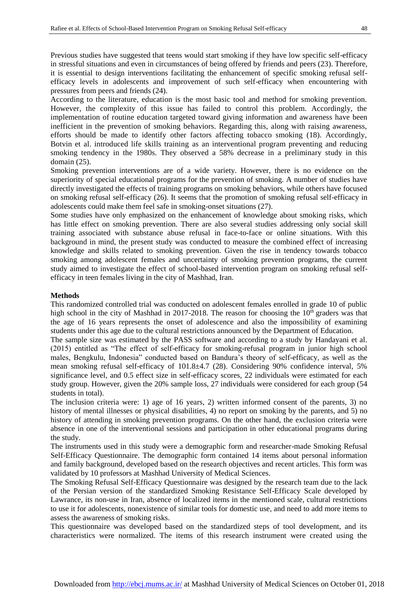Previous studies have suggested that teens would start smoking if they have low specific self-efficacy in stressful situations and even in circumstances of being offered by friends and peers (23). Therefore, it is essential to design interventions facilitating the enhancement of specific smoking refusal selfefficacy levels in adolescents and improvement of such self-efficacy when encountering with pressures from peers and friends (24).

According to the literature, education is the most basic tool and method for smoking prevention. However, the complexity of this issue has failed to control this problem. Accordingly, the implementation of routine education targeted toward giving information and awareness have been inefficient in the prevention of smoking behaviors. Regarding this, along with raising awareness, efforts should be made to identify other factors affecting tobacco smoking (18). Accordingly, Botvin et al. introduced life skills training as an interventional program preventing and reducing smoking tendency in the 1980s. They observed a 58% decrease in a preliminary study in this domain (25).

Smoking prevention interventions are of a wide variety. However, there is no evidence on the superiority of special educational programs for the prevention of smoking. A number of studies have directly investigated the effects of training programs on smoking behaviors, while others have focused on smoking refusal self-efficacy (26). It seems that the promotion of smoking refusal self-efficacy in adolescents could make them feel safe in smoking-onset situations (27).

Some studies have only emphasized on the enhancement of knowledge about smoking risks, which has little effect on smoking prevention. There are also several studies addressing only social skill training associated with substance abuse refusal in face-to-face or online situations. With this background in mind, the present study was conducted to measure the combined effect of increasing knowledge and skills related to smoking prevention. Given the rise in tendency towards tobacco smoking among adolescent females and uncertainty of smoking prevention programs, the current study aimed to investigate the effect of school-based intervention program on smoking refusal selfefficacy in teen females living in the city of Mashhad, Iran.

#### **Methods**

This randomized controlled trial was conducted on adolescent females enrolled in grade 10 of public high school in the city of Mashhad in 2017-2018. The reason for choosing the  $10<sup>th</sup>$  graders was that the age of 16 years represents the onset of adolescence and also the impossibility of examining students under this age due to the cultural restrictions announced by the Department of Education.

The sample size was estimated by the PASS software and according to a study by Handayani et al. (2015) entitled as "The effect of self-efficacy for smoking-refusal program in junior high school males, Bengkulu, Indonesia" conducted based on Bandura's theory of self-efficacy, as well as the mean smoking refusal self-efficacy of 101.8±4.7 (28). Considering 90% confidence interval, 5% significance level, and 0.5 effect size in self-efficacy scores, 22 individuals were estimated for each study group. However, given the 20% sample loss, 27 individuals were considered for each group (54 students in total).

The inclusion criteria were: 1) age of 16 years, 2) written informed consent of the parents, 3) no history of mental illnesses or physical disabilities, 4) no report on smoking by the parents, and 5) no history of attending in smoking prevention programs. On the other hand, the exclusion criteria were absence in one of the interventional sessions and participation in other educational programs during the study.

The instruments used in this study were a demographic form and researcher-made Smoking Refusal Self-Efficacy Questionnaire. The demographic form contained 14 items about personal information and family background, developed based on the research objectives and recent articles. This form was validated by 10 professors at Mashhad University of Medical Sciences.

The Smoking Refusal Self-Efficacy Questionnaire was designed by the research team due to the lack of the Persian version of the standardized Smoking Resistance Self-Efficacy Scale developed by Lawrance, its non-use in Iran, absence of localized items in the mentioned scale, cultural restrictions to use it for adolescents, nonexistence of similar tools for domestic use, and need to add more items to assess the awareness of smoking risks.

This questionnaire was developed based on the standardized steps of tool development, and its characteristics were normalized. The items of this research instrument were created using the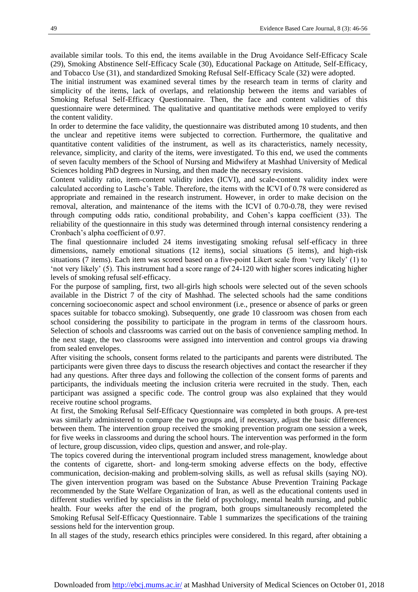available similar tools. To this end, the items available in the Drug Avoidance Self-Efficacy Scale (29), Smoking Abstinence Self-Efficacy Scale (30), Educational Package on Attitude, Self-Efficacy, and Tobacco Use (31), and standardized Smoking Refusal Self-Efficacy Scale (32) were adopted.

The initial instrument was examined several times by the research team in terms of clarity and simplicity of the items, lack of overlaps, and relationship between the items and variables of Smoking Refusal Self-Efficacy Questionnaire. Then, the face and content validities of this questionnaire were determined. The qualitative and quantitative methods were employed to verify the content validity.

In order to determine the face validity, the questionnaire was distributed among 10 students, and then the unclear and repetitive items were subjected to correction. Furthermore, the qualitative and quantitative content validities of the instrument, as well as its characteristics, namely necessity, relevance, simplicity, and clarity of the items, were investigated. To this end, we used the comments of seven faculty members of the School of Nursing and Midwifery at Mashhad University of Medical Sciences holding PhD degrees in Nursing, and then made the necessary revisions.

Content validity ratio, item-content validity index (ICVI), and scale-content validity index were calculated according to Lasche's Table. Therefore, the items with the ICVI of 0.78 were considered as appropriate and remained in the research instrument. However, in order to make decision on the removal, alteration, and maintenance of the items with the ICVI of 0.70-0.78, they were revised through computing odds ratio, conditional probability, and Cohen's kappa coefficient (33). The reliability of the questionnaire in this study was determined through internal consistency rendering a Cronbach's alpha coefficient of 0.97.

The final questionnaire included 24 items investigating smoking refusal self-efficacy in three dimensions, namely emotional situations (12 items), social situations (5 items), and high-risk situations (7 items). Each item was scored based on a five-point Likert scale from 'very likely' (1) to 'not very likely' (5). This instrument had a score range of 24-120 with higher scores indicating higher levels of smoking refusal self-efficacy.

For the purpose of sampling, first, two all-girls high schools were selected out of the seven schools available in the District 7 of the city of Mashhad. The selected schools had the same conditions concerning socioeconomic aspect and school environment (i.e., presence or absence of parks or green spaces suitable for tobacco smoking). Subsequently, one grade 10 classroom was chosen from each school considering the possibility to participate in the program in terms of the classroom hours. Selection of schools and classrooms was carried out on the basis of convenience sampling method. In the next stage, the two classrooms were assigned into intervention and control groups via drawing from sealed envelopes.

After visiting the schools, consent forms related to the participants and parents were distributed. The participants were given three days to discuss the research objectives and contact the researcher if they had any questions. After three days and following the collection of the consent forms of parents and participants, the individuals meeting the inclusion criteria were recruited in the study. Then, each participant was assigned a specific code. The control group was also explained that they would receive routine school programs.

At first, the Smoking Refusal Self-Efficacy Questionnaire was completed in both groups. A pre-test was similarly administered to compare the two groups and, if necessary, adjust the basic differences between them. The intervention group received the smoking prevention program one session a week, for five weeks in classrooms and during the school hours. The intervention was performed in the form of lecture, group discussion, video clips, question and answer, and role-play.

The topics covered during the interventional program included stress management, knowledge about the contents of cigarette, short- and long-term smoking adverse effects on the body, effective communication, decision-making and problem-solving skills, as well as refusal skills (saying NO). The given intervention program was based on the Substance Abuse Prevention Training Package recommended by the State Welfare Organization of Iran, as well as the educational contents used in different studies verified by specialists in the field of psychology, mental health nursing, and public health. Four weeks after the end of the program, both groups simultaneously recompleted the Smoking Refusal Self-Efficacy Questionnaire. Table 1 summarizes the specifications of the training sessions held for the intervention group.

In all stages of the study, research ethics principles were considered. In this regard, after obtaining a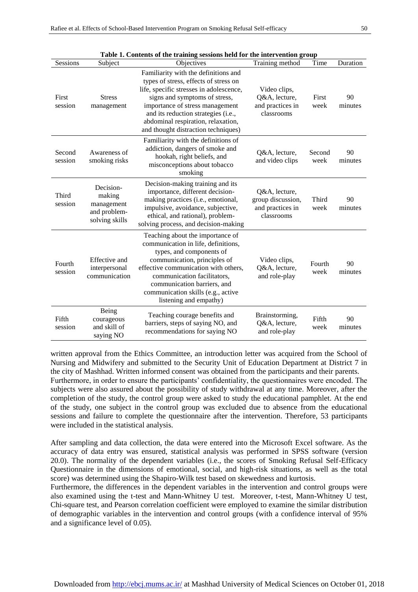| Sessions          | Subject                                                             | Table 1. Contents of the training sessions netwrot the intervention group<br>Objectives                                                                                                                                                                                                                          | Training method                                                      | Time           | Duration      |  |
|-------------------|---------------------------------------------------------------------|------------------------------------------------------------------------------------------------------------------------------------------------------------------------------------------------------------------------------------------------------------------------------------------------------------------|----------------------------------------------------------------------|----------------|---------------|--|
| First<br>session  | <b>Stress</b><br>management                                         | Familiarity with the definitions and<br>types of stress, effects of stress on<br>life, specific stresses in adolescence,<br>signs and symptoms of stress,<br>importance of stress management<br>and its reduction strategies (i.e.,<br>abdominal respiration, relaxation,<br>and thought distraction techniques) | Video clips,<br>Q&A, lecture,<br>and practices in<br>classrooms      | First<br>week  | 90<br>minutes |  |
| Second<br>session | Awareness of<br>smoking risks                                       | Familiarity with the definitions of<br>addiction, dangers of smoke and<br>hookah, right beliefs, and<br>misconceptions about tobacco<br>smoking                                                                                                                                                                  | Q&A, lecture,<br>and video clips                                     | Second<br>week | 90<br>minutes |  |
| Third<br>session  | Decision-<br>making<br>management<br>and problem-<br>solving skills | Decision-making training and its<br>importance, different decision-<br>making practices (i.e., emotional,<br>impulsive, avoidance, subjective,<br>ethical, and rational), problem-<br>solving process, and decision-making                                                                                       | Q&A, lecture,<br>group discussion,<br>and practices in<br>classrooms | Third<br>week  | 90<br>minutes |  |
| Fourth<br>session | Effective and<br>interpersonal<br>communication                     | Teaching about the importance of<br>communication in life, definitions,<br>types, and components of<br>communication, principles of<br>effective communication with others,<br>communication facilitators,<br>communication barriers, and<br>communication skills (e.g., active<br>listening and empathy)        | Video clips,<br>Q&A, lecture,<br>and role-play                       | Fourth<br>week | 90<br>minutes |  |
| Fifth<br>session  | Being<br>courageous<br>and skill of<br>saying NO                    | Teaching courage benefits and<br>barriers, steps of saying NO, and<br>recommendations for saying NO                                                                                                                                                                                                              | Brainstorming,<br>Q&A, lecture,<br>and role-play                     | Fifth<br>week  | 90<br>minutes |  |

|  | Table 1. Contents of the training sessions held for the intervention group |  |  |  |  |  |  |  |  |  |  |  |
|--|----------------------------------------------------------------------------|--|--|--|--|--|--|--|--|--|--|--|
|--|----------------------------------------------------------------------------|--|--|--|--|--|--|--|--|--|--|--|

written approval from the Ethics Committee, an introduction letter was acquired from the School of Nursing and Midwifery and submitted to the Security Unit of Education Department at District 7 in the city of Mashhad. Written informed consent was obtained from the participants and their parents. Furthermore, in order to ensure the participants' confidentiality, the questionnaires were encoded. The subjects were also assured about the possibility of study withdrawal at any time. Moreover, after the completion of the study, the control group were asked to study the educational pamphlet. At the end of the study, one subject in the control group was excluded due to absence from the educational sessions and failure to complete the questionnaire after the intervention. Therefore, 53 participants were included in the statistical analysis.

After sampling and data collection, the data were entered into the Microsoft Excel software. As the accuracy of data entry was ensured, statistical analysis was performed in SPSS software (version 20.0). The normality of the dependent variables (i.e., the scores of Smoking Refusal Self-Efficacy Questionnaire in the dimensions of emotional, social, and high-risk situations, as well as the total score) was determined using the Shapiro-Wilk test based on skewedness and kurtosis.

Furthermore, the differences in the dependent variables in the intervention and control groups were also examined using the t-test and Mann-Whitney U test. Moreover, t-test, Mann-Whitney U test, Chi-square test, and Pearson correlation coefficient were employed to examine the similar distribution of demographic variables in the intervention and control groups (with a confidence interval of 95% and a significance level of 0.05).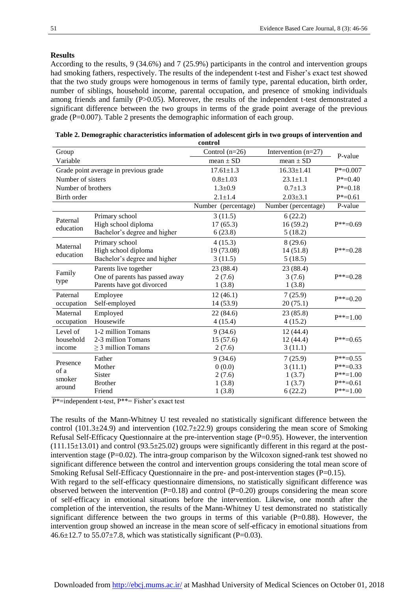#### **Results**

According to the results, 9 (34.6%) and 7 (25.9%) participants in the control and intervention groups had smoking fathers, respectively. The results of the independent t-test and Fisher's exact test showed that the two study groups were homogenous in terms of family type, parental education, birth order, number of siblings, household income, parental occupation, and presence of smoking individuals among friends and family (P>0.05). Moreover, the results of the independent t-test demonstrated a significant difference between the two groups in terms of the grade point average of the previous grade (P=0.007). Table 2 presents the demographic information of each group.

| control                              |                                       |                     |                       |               |  |  |
|--------------------------------------|---------------------------------------|---------------------|-----------------------|---------------|--|--|
| Group                                |                                       | Control $(n=26)$    | Intervention $(n=27)$ | P-value       |  |  |
| Variable                             |                                       | mean $\pm$ SD       | mean $\pm$ SD         |               |  |  |
|                                      | Grade point average in previous grade | $17.61 \pm 1.3$     | $16.33 \pm 1.41$      | $P^* = 0.007$ |  |  |
| Number of sisters                    |                                       | $0.8 + 1.03$        | $23.1 \pm 1.1$        | $P^* = 0.40$  |  |  |
| Number of brothers                   |                                       | $1.3 \pm 0.9$       | $0.7 \pm 1.3$         | $P^* = 0.18$  |  |  |
| Birth order                          |                                       | $2.1 \pm 1.4$       | $2.03 \pm 3.1$        | $P^* = 0.61$  |  |  |
|                                      |                                       | Number (percentage) | Number (percentage)   |               |  |  |
| Paternal                             | Primary school                        | 3(11.5)             | 6(22.2)               |               |  |  |
| education                            | High school diploma                   | 17(65.3)            | 16(59.2)              | $P^{**}=0.69$ |  |  |
|                                      | Bachelor's degree and higher          | 6(23.8)             | 5(18.2)               |               |  |  |
| Maternal                             | Primary school                        | 4(15.3)             | 8(29.6)               |               |  |  |
|                                      | High school diploma                   | 19 (73.08)          | 14(51.8)              | $P^{**}=0.28$ |  |  |
| education                            | Bachelor's degree and higher          | 3(11.5)             | 5(18.5)               |               |  |  |
| Family                               | Parents live together                 | 23 (88.4)           | 23 (88.4)             |               |  |  |
|                                      | One of parents has passed away        | 2(7.6)              | 3(7.6)                | $P^{**}=0.28$ |  |  |
| type                                 | Parents have got divorced             | 1(3.8)              | 1(3.8)                |               |  |  |
| Paternal                             | Employee                              | 12(46.1)            | 7(25.9)               | $P^{**}=0.20$ |  |  |
| occupation                           | Self-employed                         | 14 (53.9)           | 20(75.1)              |               |  |  |
| Maternal                             | Employed                              | 22(84.6)            | 23(85.8)              |               |  |  |
| occupation                           | Housewife                             | 4(15.4)             | 4(15.2)               | $P^{**}=1.00$ |  |  |
| Level of                             | 1-2 million Tomans                    | 9(34.6)             | 12 (44.4)             |               |  |  |
| household                            | 2-3 million Tomans                    | 15(57.6)            | 12(44.4)              | $P^{**}=0.65$ |  |  |
| income                               | $\geq$ 3 million Tomans               | 2(7.6)              | 3(11.1)               |               |  |  |
| Presence<br>of a<br>smoker<br>around | Father                                | 9(34.6)             | 7(25.9)               | $P^{**}=0.55$ |  |  |
|                                      | Mother                                | 0(0.0)              | 3(11.1)               | $P^{**}=0.33$ |  |  |
|                                      | <b>Sister</b>                         | 2(7.6)              | 1(3.7)                | $P^{**}=1.00$ |  |  |
|                                      | <b>Brother</b>                        | 1(3.8)              | 1(3.7)                | $P^{**}=0.61$ |  |  |
|                                      | Friend                                | 1(3.8)              | 6(22.2)               | $P^{**}=1.00$ |  |  |

| Table 2. Demographic characteristics information of adolescent girls in two groups of intervention and |  |
|--------------------------------------------------------------------------------------------------------|--|
| . 1                                                                                                    |  |

 $P^*$ =independent t-test,  $P^{**}$ = Fisher's exact test

The results of the Mann-Whitney U test revealed no statistically significant difference between the control (101.3 $\pm$ 24.9) and intervention (102.7 $\pm$ 22.9) groups considering the mean score of Smoking Refusal Self-Efficacy Questionnaire at the pre-intervention stage (P=0.95). However, the intervention  $(111.15\pm13.01)$  and control (93.5 $\pm$ 25.02) groups were significantly different in this regard at the postintervention stage ( $P=0.02$ ). The intra-group comparison by the Wilcoxon signed-rank test showed no significant difference between the control and intervention groups considering the total mean score of Smoking Refusal Self-Efficacy Questionnaire in the pre- and post-intervention stages (P=0.15).

With regard to the self-efficacy questionnaire dimensions, no statistically significant difference was observed between the intervention  $(P=0.18)$  and control  $(P=0.20)$  groups considering the mean score of self-efficacy in emotional situations before the intervention. Likewise, one month after the completion of the intervention, the results of the Mann-Whitney U test demonstrated no statistically significant difference between the two groups in terms of this variable  $(P=0.88)$ . However, the intervention group showed an increase in the mean score of self-efficacy in emotional situations from  $46.6\pm12.7$  to  $55.07\pm7.8$ , which was statistically significant (P=0.03).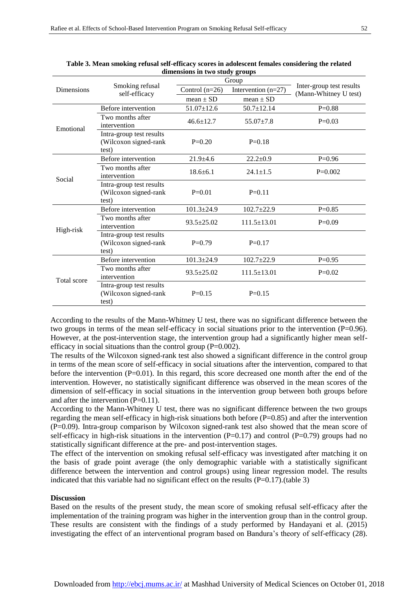|             |                                                            | Group                                     | Inter-group test results<br>(Mann-Whitney U test) |           |
|-------------|------------------------------------------------------------|-------------------------------------------|---------------------------------------------------|-----------|
| Dimensions  | Smoking refusal<br>self-efficacy                           | Intervention $(n=27)$<br>Control $(n=26)$ |                                                   |           |
|             |                                                            | mean $\pm$ SD                             | mean $\pm$ SD                                     |           |
|             | Before intervention                                        | $51.07 \pm 12.6$                          | $50.7 \pm 12.14$                                  | $P=0.88$  |
| Emotional   | Two months after<br>intervention                           | $46.6 \pm 12.7$                           | $55.07 \pm 7.8$                                   | $P=0.03$  |
|             | Intra-group test results<br>(Wilcoxon signed-rank<br>test) | $P=0.20$                                  | $P=0.18$                                          |           |
|             | Before intervention                                        | $21.9 + 4.6$                              | $22.2 \pm 0.9$                                    | $P=0.96$  |
| Social      | Two months after<br>intervention                           | $18.6 \pm 6.1$                            | $24.1 \pm 1.5$                                    | $P=0.002$ |
|             | Intra-group test results<br>(Wilcoxon signed-rank<br>test) | $P=0.01$                                  | $P=0.11$                                          |           |
|             | Before intervention                                        | $101.3 \pm 24.9$                          | $102.7 \pm 22.9$                                  | $P=0.85$  |
| High-risk   | Two months after<br>intervention                           | $93.5 \pm 25.02$                          | $111.5 \pm 13.01$                                 | $P=0.09$  |
|             | Intra-group test results<br>(Wilcoxon signed-rank<br>test) | $P=0.79$                                  | $P=0.17$                                          |           |
|             | Before intervention                                        | $101.3 \pm 24.9$                          | $102.7 \pm 22.9$                                  | $P=0.95$  |
| Total score | Two months after<br>intervention                           | $93.5 \pm 25.02$                          | $111.5 \pm 13.01$                                 | $P=0.02$  |
|             | Intra-group test results<br>(Wilcoxon signed-rank<br>test) | $P=0.15$                                  | $P=0.15$                                          |           |

**Table 3. Mean smoking refusal self-efficacy scores in adolescent females considering the related dimensions in two study groups** 

According to the results of the Mann-Whitney U test, there was no significant difference between the two groups in terms of the mean self-efficacy in social situations prior to the intervention (P=0.96). However, at the post-intervention stage, the intervention group had a significantly higher mean selfefficacy in social situations than the control group  $(P=0.002)$ .

The results of the Wilcoxon signed-rank test also showed a significant difference in the control group in terms of the mean score of self-efficacy in social situations after the intervention, compared to that before the intervention (P=0.01). In this regard, this score decreased one month after the end of the intervention. However, no statistically significant difference was observed in the mean scores of the dimension of self-efficacy in social situations in the intervention group between both groups before and after the intervention  $(P=0.11)$ .

According to the Mann-Whitney U test, there was no significant difference between the two groups regarding the mean self-efficacy in high-risk situations both before  $(P=0.85)$  and after the intervention (P=0.09). Intra-group comparison by Wilcoxon signed-rank test also showed that the mean score of self-efficacy in high-risk situations in the intervention  $(P=0.17)$  and control  $(P=0.79)$  groups had no statistically significant difference at the pre- and post-intervention stages.

The effect of the intervention on smoking refusal self-efficacy was investigated after matching it on the basis of grade point average (the only demographic variable with a statistically significant difference between the intervention and control groups) using linear regression model. The results indicated that this variable had no significant effect on the results  $(P=0.17)$ .(table 3)

#### **Discussion**

Based on the results of the present study, the mean score of smoking refusal self-efficacy after the implementation of the training program was higher in the intervention group than in the control group. These results are consistent with the findings of a study performed by Handayani et al. (2015) investigating the effect of an interventional program based on Bandura's theory of self-efficacy (28).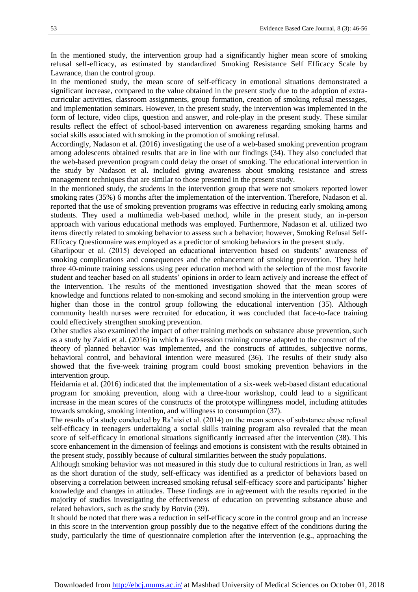In the mentioned study, the intervention group had a significantly higher mean score of smoking refusal self-efficacy, as estimated by standardized Smoking Resistance Self Efficacy Scale by Lawrance, than the control group.

In the mentioned study, the mean score of self-efficacy in emotional situations demonstrated a significant increase, compared to the value obtained in the present study due to the adoption of extracurricular activities, classroom assignments, group formation, creation of smoking refusal messages, and implementation seminars. However, in the present study, the intervention was implemented in the form of lecture, video clips, question and answer, and role-play in the present study. These similar results reflect the effect of school-based intervention on awareness regarding smoking harms and social skills associated with smoking in the promotion of smoking refusal.

Accordingly, Nadason et al. (2016) investigating the use of a web-based smoking prevention program among adolescents obtained results that are in line with our findings (34). They also concluded that the web-based prevention program could delay the onset of smoking. The educational intervention in the study by Nadason et al. included giving awareness about smoking resistance and stress management techniques that are similar to those presented in the present study.

In the mentioned study, the students in the intervention group that were not smokers reported lower smoking rates (35%) 6 months after the implementation of the intervention. Therefore, Nadason et al. reported that the use of smoking prevention programs was effective in reducing early smoking among students. They used a multimedia web-based method, while in the present study, an in-person approach with various educational methods was employed. Furthermore, Nadason et al. utilized two items directly related to smoking behavior to assess such a behavior; however, Smoking Refusal Self-Efficacy Questionnaire was employed as a predictor of smoking behaviors in the present study.

Gharlipour et al. (2015) developed an educational intervention based on students' awareness of smoking complications and consequences and the enhancement of smoking prevention. They held three 40-minute training sessions using peer education method with the selection of the most favorite student and teacher based on all students' opinions in order to learn actively and increase the effect of the intervention. The results of the mentioned investigation showed that the mean scores of knowledge and functions related to non-smoking and second smoking in the intervention group were higher than those in the control group following the educational intervention (35). Although community health nurses were recruited for education, it was concluded that face-to-face training could effectively strengthen smoking prevention.

Other studies also examined the impact of other training methods on substance abuse prevention, such as a study by Zaidi et al. (2016) in which a five-session training course adapted to the construct of the theory of planned behavior was implemented, and the constructs of attitudes, subjective norms, behavioral control, and behavioral intention were measured (36). The results of their study also showed that the five-week training program could boost smoking prevention behaviors in the intervention group.

Heidarnia et al. (2016) indicated that the implementation of a six-week web-based distant educational program for smoking prevention, along with a three-hour workshop, could lead to a significant increase in the mean scores of the constructs of the prototype willingness model, including attitudes towards smoking, smoking intention, and willingness to consumption (37).

The results of a study conducted by Ra'aisi et al. (2014) on the mean scores of substance abuse refusal self-efficacy in teenagers undertaking a social skills training program also revealed that the mean score of self-efficacy in emotional situations significantly increased after the intervention (38). This score enhancement in the dimension of feelings and emotions is consistent with the results obtained in the present study, possibly because of cultural similarities between the study populations.

Although smoking behavior was not measured in this study due to cultural restrictions in Iran, as well as the short duration of the study, self-efficacy was identified as a predictor of behaviors based on observing a correlation between increased smoking refusal self-efficacy score and participants' higher knowledge and changes in attitudes. These findings are in agreement with the results reported in the majority of studies investigating the effectiveness of education on preventing substance abuse and related behaviors, such as the study by Botvin (39).

It should be noted that there was a reduction in self-efficacy score in the control group and an increase in this score in the intervention group possibly due to the negative effect of the conditions during the study, particularly the time of questionnaire completion after the intervention (e.g., approaching the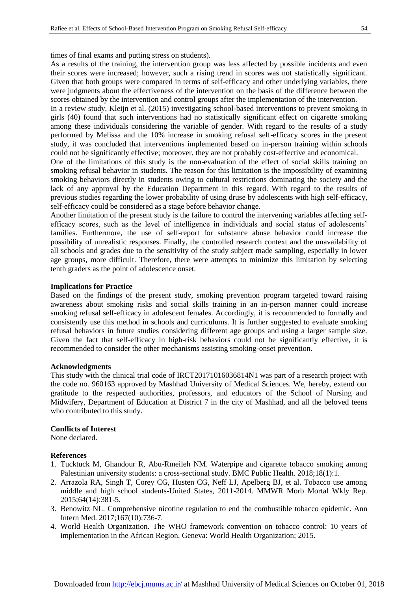times of final exams and putting stress on students).

As a results of the training, the intervention group was less affected by possible incidents and even their scores were increased; however, such a rising trend in scores was not statistically significant. Given that both groups were compared in terms of self-efficacy and other underlying variables, there were judgments about the effectiveness of the intervention on the basis of the difference between the scores obtained by the intervention and control groups after the implementation of the intervention.

In a review study, Kleijn et al. (2015) investigating school-based interventions to prevent smoking in girls (40) found that such interventions had no statistically significant effect on cigarette smoking among these individuals considering the variable of gender. With regard to the results of a study performed by Melissa and the 10% increase in smoking refusal self-efficacy scores in the present study, it was concluded that interventions implemented based on in-person training within schools could not be significantly effective; moreover, they are not probably cost-effective and economical.

One of the limitations of this study is the non-evaluation of the effect of social skills training on smoking refusal behavior in students. The reason for this limitation is the impossibility of examining smoking behaviors directly in students owing to cultural restrictions dominating the society and the lack of any approval by the Education Department in this regard. With regard to the results of previous studies regarding the lower probability of using druse by adolescents with high self-efficacy, self-efficacy could be considered as a stage before behavior change.

Another limitation of the present study is the failure to control the intervening variables affecting selfefficacy scores, such as the level of intelligence in individuals and social status of adolescents' families. Furthermore, the use of self-report for substance abuse behavior could increase the possibility of unrealistic responses. Finally, the controlled research context and the unavailability of all schools and grades due to the sensitivity of the study subject made sampling, especially in lower age groups, more difficult. Therefore, there were attempts to minimize this limitation by selecting tenth graders as the point of adolescence onset.

#### **Implications for Practice**

Based on the findings of the present study, smoking prevention program targeted toward raising awareness about smoking risks and social skills training in an in-person manner could increase smoking refusal self-efficacy in adolescent females. Accordingly, it is recommended to formally and consistently use this method in schools and curriculums. It is further suggested to evaluate smoking refusal behaviors in future studies considering different age groups and using a larger sample size. Given the fact that self-efficacy in high-risk behaviors could not be significantly effective, it is recommended to consider the other mechanisms assisting smoking-onset prevention.

#### **Acknowledgments**

This study with the clinical trial code of IRCT20171016036814N1 was part of a research project with the code no. 960163 approved by Mashhad University of Medical Sciences. We, hereby, extend our gratitude to the respected authorities, professors, and educators of the School of Nursing and Midwifery, Department of Education at District 7 in the city of Mashhad, and all the beloved teens who contributed to this study.

#### **Conflicts of Interest**

None declared.

#### **References**

- 1. Tucktuck M, Ghandour R, Abu-Rmeileh NM. Waterpipe and cigarette tobacco smoking among Palestinian university students: a cross-sectional study. BMC Public Health. 2018;18(1):1.
- 2. Arrazola RA, Singh T, Corey CG, Husten CG, Neff LJ, Apelberg BJ, et al. Tobacco use among middle and high school students-United States, 2011-2014. MMWR Morb Mortal Wkly Rep. 2015;64(14):381-5.
- 3. Benowitz NL. Comprehensive nicotine regulation to end the combustible tobacco epidemic. Ann Intern Med. 2017;167(10):736-7.
- 4. World Health Organization. The WHO framework convention on tobacco control: 10 years of implementation in the African Region. Geneva: World Health Organization; 2015.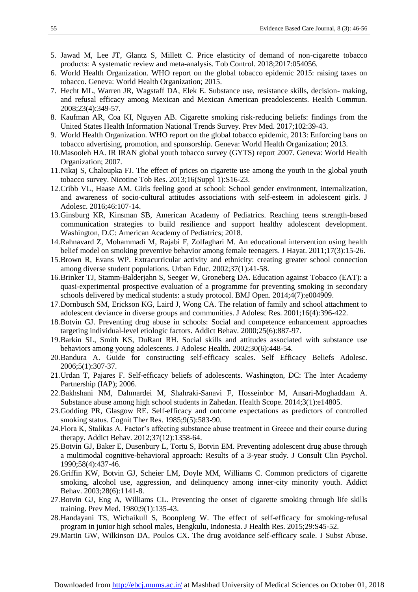- 5. Jawad M, Lee JT, Glantz S, Millett C. Price elasticity of demand of non-cigarette tobacco products: A systematic review and meta-analysis. Tob Control. 2018;2017:054056.
- 6. World Health Organization. WHO report on the global tobacco epidemic 2015: raising taxes on tobacco. Geneva: World Health Organization; 2015.
- 7. Hecht ML, Warren JR, Wagstaff DA, Elek E. Substance use, resistance skills, decision- making, and refusal efficacy among Mexican and Mexican American preadolescents. Health Commun. 2008;23(4):349-57.
- 8. Kaufman AR, Coa KI, Nguyen AB. Cigarette smoking risk-reducing beliefs: findings from the United States Health Information National Trends Survey. Prev Med. 2017;102:39-43.
- 9. World Health Organization. WHO report on the global tobacco epidemic, 2013: Enforcing bans on tobacco advertising, promotion, and sponsorship. Geneva: World Health Organization; 2013.
- 10.Masooleh HA. IR IRAN global youth tobacco survey (GYTS) report 2007. Geneva: World Health Organization; 2007.
- 11.Nikaj S, Chaloupka FJ. The effect of prices on cigarette use among the youth in the global youth tobacco survey. Nicotine Tob Res. 2013;16(Suppl 1):S16-23.
- 12.Cribb VL, Haase AM. Girls feeling good at school: School gender environment, internalization, and awareness of socio-cultural attitudes associations with self-esteem in adolescent girls. J Adolesc. 2016;46:107-14.
- 13.Ginsburg KR, Kinsman SB, American Academy of Pediatrics. Reaching teens strength-based communication strategies to build resilience and support healthy adolescent development. Washington, D.C: American Academy of Pediatrics; 2018.
- 14.Rahnavard Z, Mohammadi M, Rajabi F, Zolfaghari M. An educational intervention using health belief model on smoking preventive behavior among female teenagers. J Hayat. 2011;17(3):15-26.
- 15.Brown R, Evans WP. Extracurricular activity and ethnicity: creating greater school connection among diverse student populations. Urban Educ. 2002;37(1):41-58.
- 16.Brinker TJ, Stamm-Balderjahn S, Seeger W, Groneberg DA. Education against Tobacco (EAT): a quasi-experimental prospective evaluation of a programme for preventing smoking in secondary schools delivered by medical students: a study protocol. BMJ Open. 2014;4(7):e004909.
- 17.Dornbusch SM, Erickson KG, Laird J, Wong CA. The relation of family and school attachment to adolescent deviance in diverse groups and communities. J Adolesc Res. 2001;16(4):396-422.
- 18.Botvin GJ. Preventing drug abuse in schools: Social and competence enhancement approaches targeting individual-level etiologic factors. Addict Behav. 2000;25(6):887-97.
- 19.Barkin SL, Smith KS, DuRant RH. Social skills and attitudes associated with substance use behaviors among young adolescents. J Adolesc Health. 2002;30(6):448-54.
- 20.Bandura A. Guide for constructing self-efficacy scales. Self Efficacy Beliefs Adolesc. 2006;5(1):307-37.
- 21.Urdan T, Pajares F. Self-efficacy beliefs of adolescents. Washington, DC: The Inter Academy Partnership (IAP); 2006.
- 22.Bakhshani NM, Dahmardei M, Shahraki-Sanavi F, Hosseinbor M, Ansari-Moghaddam A. Substance abuse among high school students in Zahedan. Health Scope. 2014;3(1):e14805.
- 23.Godding PR, Glasgow RE. Self-efficacy and outcome expectations as predictors of controlled smoking status. Cognit Ther Res. 1985;9(5):583-90.
- 24.Flora K, Stalikas A. Factor's affecting substance abuse treatment in Greece and their course during therapy. Addict Behav. 2012;37(12):1358-64.
- 25.Botvin GJ, Baker E, Dusenbury L, Tortu S, Botvin EM. Preventing adolescent drug abuse through a multimodal cognitive-behavioral approach: Results of a 3-year study. J Consult Clin Psychol. 1990;58(4):437-46.
- 26.Griffin KW, Botvin GJ, Scheier LM, Doyle MM, Williams C. Common predictors of cigarette smoking, alcohol use, aggression, and delinquency among inner-city minority youth. Addict Behav. 2003;28(6):1141-8.
- 27.Botvin GJ, Eng A, Williams CL. Preventing the onset of cigarette smoking through life skills training. Prev Med. 1980;9(1):135-43.
- 28.Handayani TS, Wichaikull S, Boonpleng W. The effect of self-efficacy for smoking-refusal program in junior high school males, Bengkulu, Indonesia. J Health Res. 2015;29:S45-52.
- 29.Martin GW, Wilkinson DA, Poulos CX. The drug avoidance self-efficacy scale. J Subst Abuse.